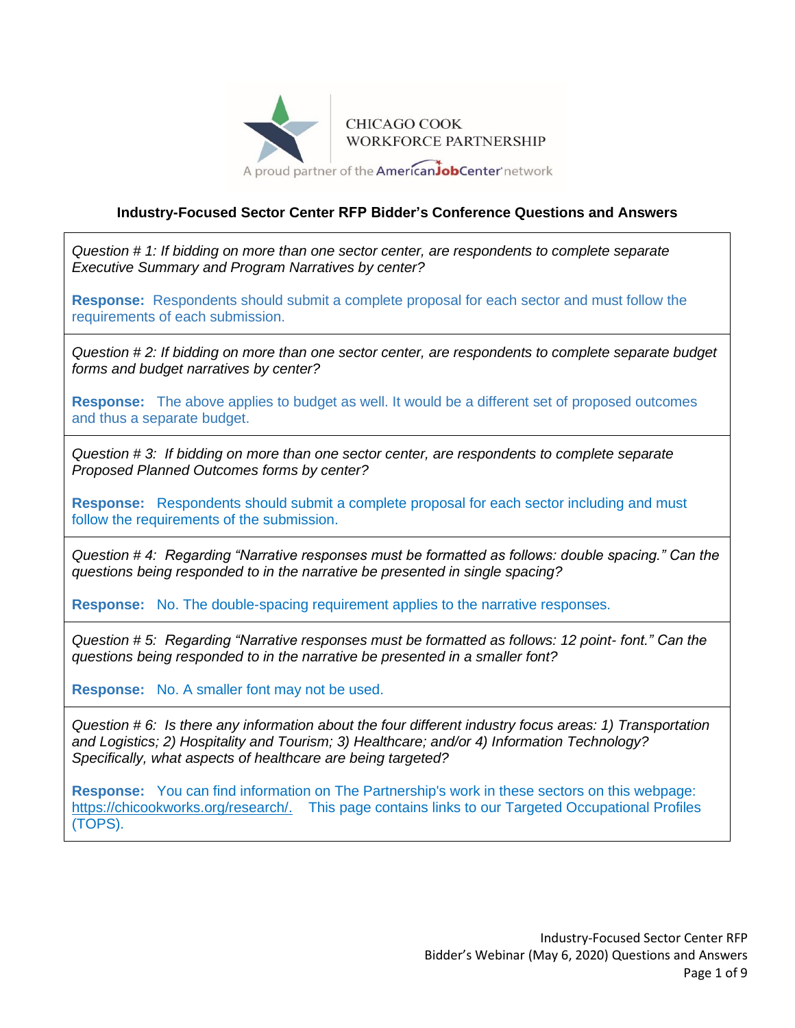

## **Industry-Focused Sector Center RFP Bidder's Conference Questions and Answers**

*Question # 1: If bidding on more than one sector center, are respondents to complete separate Executive Summary and Program Narratives by center?*

**Response:** Respondents should submit a complete proposal for each sector and must follow the requirements of each submission.

*Question # 2: If bidding on more than one sector center, are respondents to complete separate budget forms and budget narratives by center?*

**Response:** The above applies to budget as well. It would be a different set of proposed outcomes and thus a separate budget.

*Question # 3: If bidding on more than one sector center, are respondents to complete separate Proposed Planned Outcomes forms by center?*

**Response:** Respondents should submit a complete proposal for each sector including and must follow the requirements of the submission.

*Question # 4: Regarding "Narrative responses must be formatted as follows: double spacing." Can the questions being responded to in the narrative be presented in single spacing?*

**Response:** No. The double-spacing requirement applies to the narrative responses.

*Question # 5: Regarding "Narrative responses must be formatted as follows: 12 point- font." Can the questions being responded to in the narrative be presented in a smaller font?*

**Response:** No. A smaller font may not be used.

*Question # 6: Is there any information about the four different industry focus areas: 1) Transportation and Logistics; 2) Hospitality and Tourism; 3) Healthcare; and/or 4) Information Technology? Specifically, what aspects of healthcare are being targeted?*

**Response:** You can find information on The Partnership's work in these sectors on this webpage: [https://chicookworks.org/research/.](https://chicookworks.org/research/) This page contains links to our Targeted Occupational Profiles (TOPS).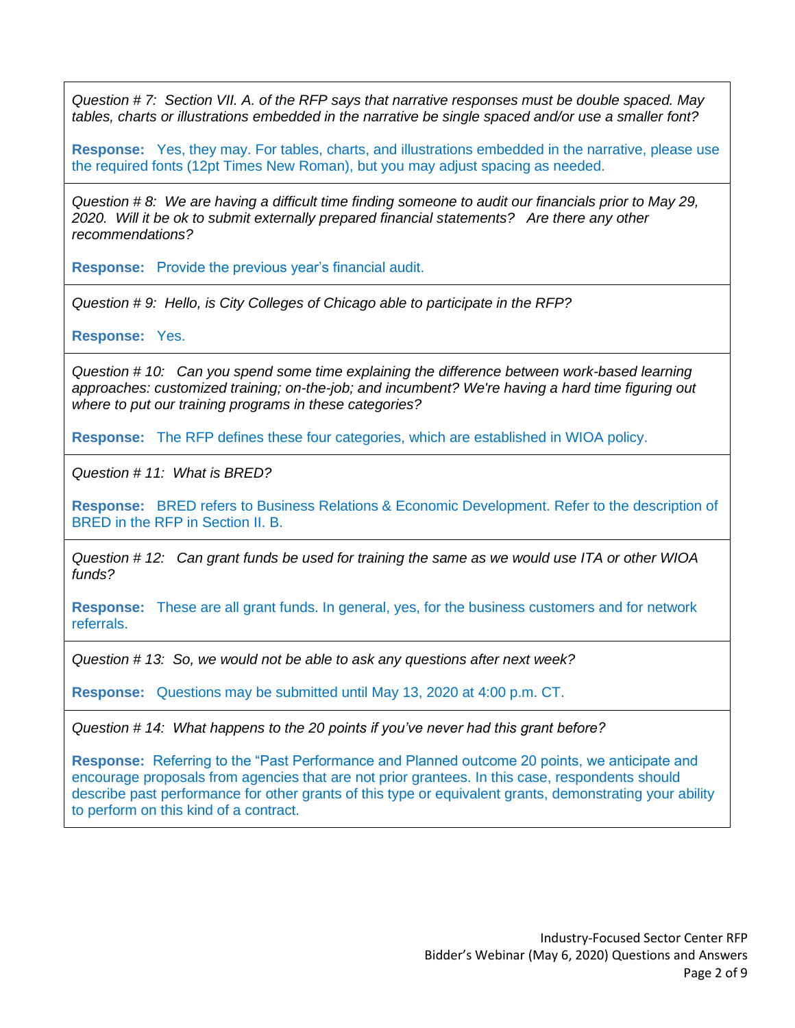*Question # 7: Section VII. A. of the RFP says that narrative responses must be double spaced. May tables, charts or illustrations embedded in the narrative be single spaced and/or use a smaller font?*

**Response:** Yes, they may. For tables, charts, and illustrations embedded in the narrative, please use the required fonts (12pt Times New Roman), but you may adjust spacing as needed.

*Question # 8: We are having a difficult time finding someone to audit our financials prior to May 29, 2020. Will it be ok to submit externally prepared financial statements? Are there any other recommendations?*

**Response:** Provide the previous year's financial audit.

*Question # 9: Hello, is City Colleges of Chicago able to participate in the RFP?*

**Response:** Yes.

*Question # 10: Can you spend some time explaining the difference between work-based learning approaches: customized training; on-the-job; and incumbent? We're having a hard time figuring out where to put our training programs in these categories?*

**Response:** The RFP defines these four categories, which are established in WIOA policy.

*Question # 11: What is BRED?*

**Response:** BRED refers to Business Relations & Economic Development. Refer to the description of BRED in the RFP in Section II. B.

*Question # 12: Can grant funds be used for training the same as we would use ITA or other WIOA funds?*

**Response:** These are all grant funds. In general, yes, for the business customers and for network referrals.

*Question # 13: So, we would not be able to ask any questions after next week?*

**Response:** Questions may be submitted until May 13, 2020 at 4:00 p.m. CT.

*Question # 14: What happens to the 20 points if you've never had this grant before?*

**Response:** Referring to the "Past Performance and Planned outcome 20 points, we anticipate and encourage proposals from agencies that are not prior grantees. In this case, respondents should describe past performance for other grants of this type or equivalent grants, demonstrating your ability to perform on this kind of a contract.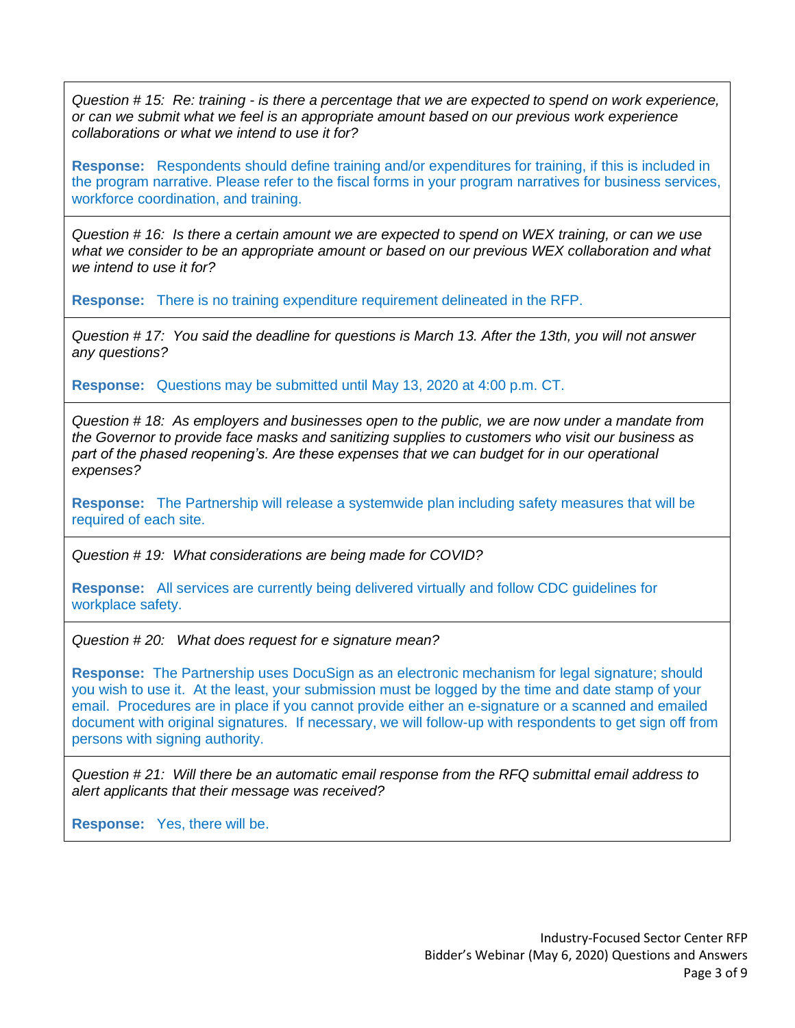*Question # 15: Re: training - is there a percentage that we are expected to spend on work experience, or can we submit what we feel is an appropriate amount based on our previous work experience collaborations or what we intend to use it for?*

**Response:** Respondents should define training and/or expenditures for training, if this is included in the program narrative. Please refer to the fiscal forms in your program narratives for business services, workforce coordination, and training.

*Question # 16: Is there a certain amount we are expected to spend on WEX training, or can we use what we consider to be an appropriate amount or based on our previous WEX collaboration and what we intend to use it for?*

**Response:** There is no training expenditure requirement delineated in the RFP.

*Question # 17: You said the deadline for questions is March 13. After the 13th, you will not answer any questions?*

**Response:** Questions may be submitted until May 13, 2020 at 4:00 p.m. CT.

*Question # 18: As employers and businesses open to the public, we are now under a mandate from the Governor to provide face masks and sanitizing supplies to customers who visit our business as part of the phased reopening's. Are these expenses that we can budget for in our operational expenses?*

**Response:** The Partnership will release a systemwide plan including safety measures that will be required of each site.

*Question # 19: What considerations are being made for COVID?*

**Response:** All services are currently being delivered virtually and follow CDC guidelines for workplace safety.

*Question # 20: What does request for e signature mean?*

**Response:** The Partnership uses DocuSign as an electronic mechanism for legal signature; should you wish to use it. At the least, your submission must be logged by the time and date stamp of your email. Procedures are in place if you cannot provide either an e-signature or a scanned and emailed document with original signatures. If necessary, we will follow-up with respondents to get sign off from persons with signing authority.

*Question # 21: Will there be an automatic email response from the RFQ submittal email address to alert applicants that their message was received?*

**Response:** Yes, there will be.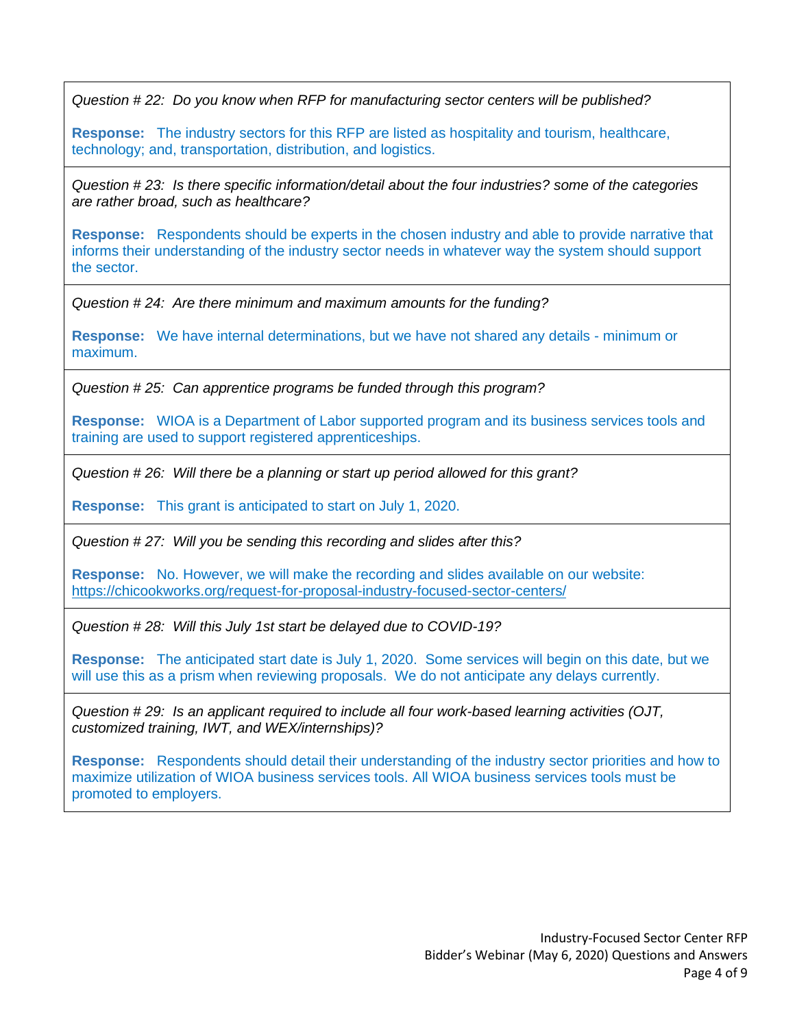*Question # 22: Do you know when RFP for manufacturing sector centers will be published?*

**Response:** The industry sectors for this RFP are listed as hospitality and tourism, healthcare, technology; and, transportation, distribution, and logistics.

*Question # 23: Is there specific information/detail about the four industries? some of the categories are rather broad, such as healthcare?*

**Response:** Respondents should be experts in the chosen industry and able to provide narrative that informs their understanding of the industry sector needs in whatever way the system should support the sector.

*Question # 24: Are there minimum and maximum amounts for the funding?*

**Response:** We have internal determinations, but we have not shared any details - minimum or maximum.

*Question # 25: Can apprentice programs be funded through this program?*

**Response:** WIOA is a Department of Labor supported program and its business services tools and training are used to support registered apprenticeships.

*Question # 26: Will there be a planning or start up period allowed for this grant?*

**Response:** This grant is anticipated to start on July 1, 2020.

*Question # 27: Will you be sending this recording and slides after this?*

**Response:** No. However, we will make the recording and slides available on our website: <https://chicookworks.org/request-for-proposal-industry-focused-sector-centers/>

*Question # 28: Will this July 1st start be delayed due to COVID-19?*

**Response:** The anticipated start date is July 1, 2020. Some services will begin on this date, but we will use this as a prism when reviewing proposals. We do not anticipate any delays currently.

*Question # 29: Is an applicant required to include all four work-based learning activities (OJT, customized training, IWT, and WEX/internships)?*

**Response:** Respondents should detail their understanding of the industry sector priorities and how to maximize utilization of WIOA business services tools. All WIOA business services tools must be promoted to employers.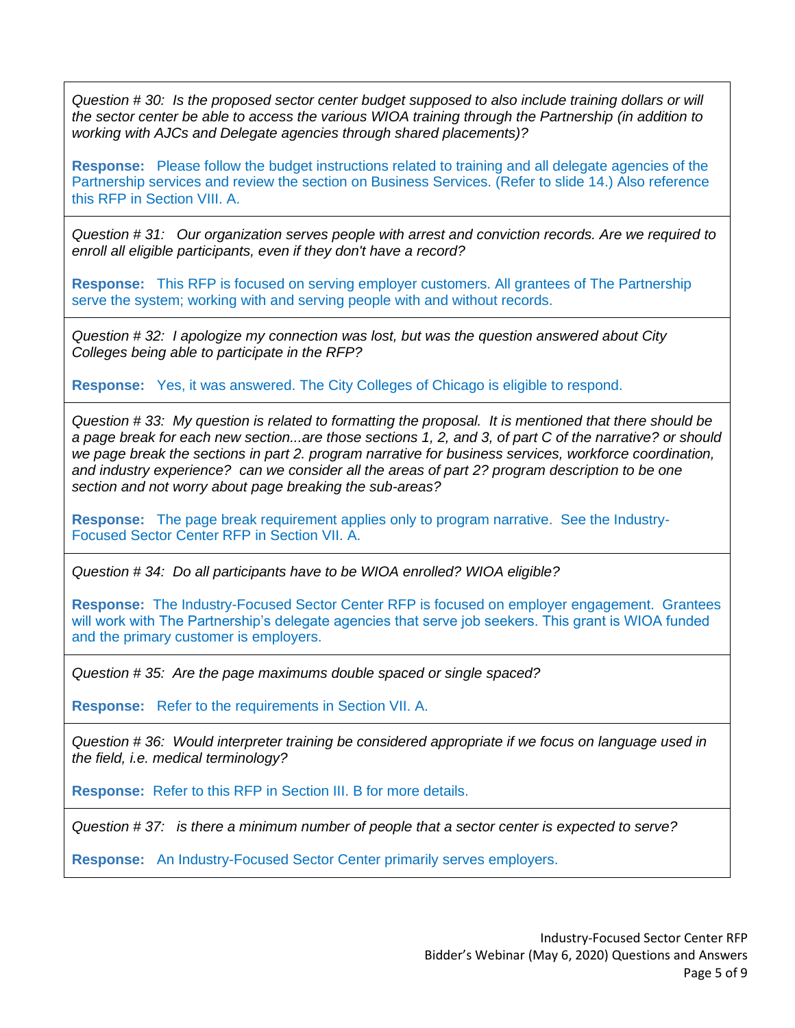*Question # 30: Is the proposed sector center budget supposed to also include training dollars or will the sector center be able to access the various WIOA training through the Partnership (in addition to working with AJCs and Delegate agencies through shared placements)?*

**Response:** Please follow the budget instructions related to training and all delegate agencies of the Partnership services and review the section on Business Services. (Refer to slide 14.) Also reference this RFP in Section VIII. A.

*Question # 31: Our organization serves people with arrest and conviction records. Are we required to enroll all eligible participants, even if they don't have a record?*

**Response:** This RFP is focused on serving employer customers. All grantees of The Partnership serve the system; working with and serving people with and without records.

*Question # 32: I apologize my connection was lost, but was the question answered about City Colleges being able to participate in the RFP?*

**Response:** Yes, it was answered. The City Colleges of Chicago is eligible to respond.

*Question # 33: My question is related to formatting the proposal. It is mentioned that there should be a page break for each new section...are those sections 1, 2, and 3, of part C of the narrative? or should we page break the sections in part 2. program narrative for business services, workforce coordination, and industry experience? can we consider all the areas of part 2? program description to be one section and not worry about page breaking the sub-areas?*

**Response:** The page break requirement applies only to program narrative. See the Industry-Focused Sector Center RFP in Section VII. A.

*Question # 34: Do all participants have to be WIOA enrolled? WIOA eligible?*

**Response:** The Industry-Focused Sector Center RFP is focused on employer engagement. Grantees will work with The Partnership's delegate agencies that serve job seekers. This grant is WIOA funded and the primary customer is employers.

*Question # 35: Are the page maximums double spaced or single spaced?*

**Response:** Refer to the requirements in Section VII. A.

*Question # 36: Would interpreter training be considered appropriate if we focus on language used in the field, i.e. medical terminology?*

**Response:** Refer to this RFP in Section III. B for more details.

*Question # 37: is there a minimum number of people that a sector center is expected to serve?*

**Response:** An Industry-Focused Sector Center primarily serves employers.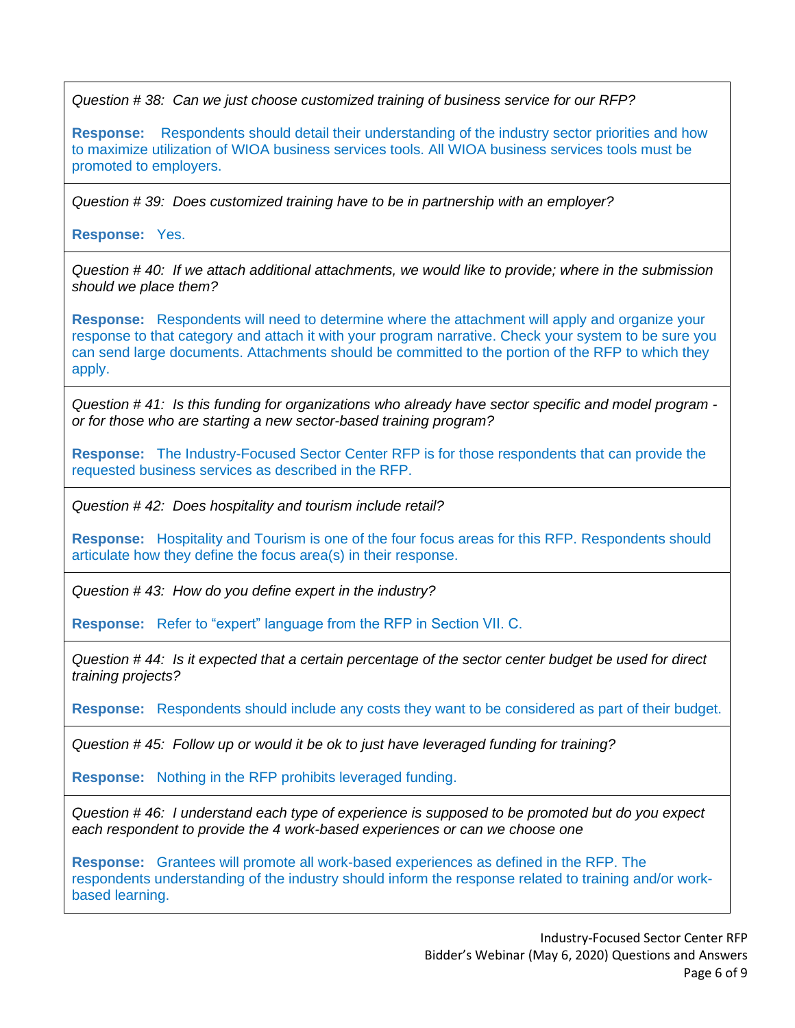*Question # 38: Can we just choose customized training of business service for our RFP?*

**Response:** Respondents should detail their understanding of the industry sector priorities and how to maximize utilization of WIOA business services tools. All WIOA business services tools must be promoted to employers.

*Question # 39: Does customized training have to be in partnership with an employer?*

## **Response:** Yes.

*Question # 40: If we attach additional attachments, we would like to provide; where in the submission should we place them?*

**Response:** Respondents will need to determine where the attachment will apply and organize your response to that category and attach it with your program narrative. Check your system to be sure you can send large documents. Attachments should be committed to the portion of the RFP to which they apply.

*Question # 41: Is this funding for organizations who already have sector specific and model program or for those who are starting a new sector-based training program?*

**Response:** The Industry-Focused Sector Center RFP is for those respondents that can provide the requested business services as described in the RFP.

*Question # 42: Does hospitality and tourism include retail?*

**Response:** Hospitality and Tourism is one of the four focus areas for this RFP. Respondents should articulate how they define the focus area(s) in their response.

*Question # 43: How do you define expert in the industry?*

**Response:** Refer to "expert" language from the RFP in Section VII. C.

*Question # 44: Is it expected that a certain percentage of the sector center budget be used for direct training projects?*

**Response:** Respondents should include any costs they want to be considered as part of their budget.

*Question # 45: Follow up or would it be ok to just have leveraged funding for training?*

**Response:** Nothing in the RFP prohibits leveraged funding.

*Question # 46: I understand each type of experience is supposed to be promoted but do you expect each respondent to provide the 4 work-based experiences or can we choose one*

**Response:** Grantees will promote all work-based experiences as defined in the RFP. The respondents understanding of the industry should inform the response related to training and/or workbased learning.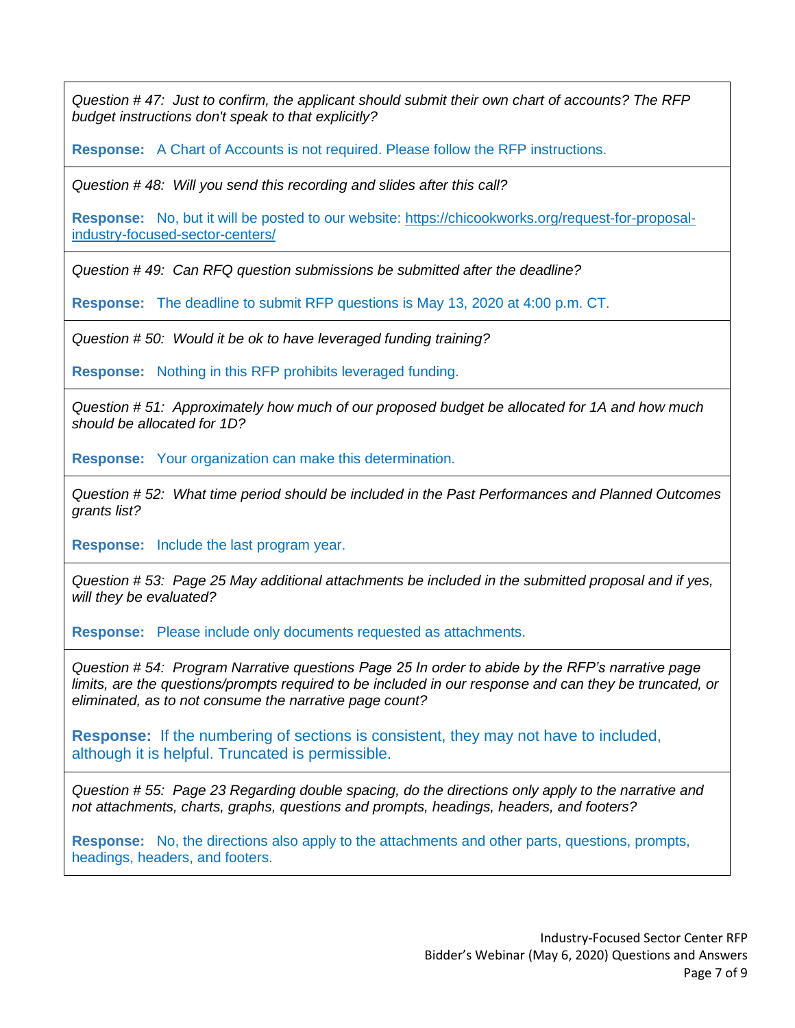*Question # 47: Just to confirm, the applicant should submit their own chart of accounts? The RFP budget instructions don't speak to that explicitly?*

**Response:** A Chart of Accounts is not required. Please follow the RFP instructions.

*Question # 48: Will you send this recording and slides after this call?*

**Response:** No, but it will be posted to our website: [https://chicookworks.org/request-for-proposal](https://chicookworks.org/request-for-proposal-industry-focused-sector-centers/)[industry-focused-sector-centers/](https://chicookworks.org/request-for-proposal-industry-focused-sector-centers/)

*Question # 49: Can RFQ question submissions be submitted after the deadline?*

**Response:** The deadline to submit RFP questions is May 13, 2020 at 4:00 p.m. CT.

*Question # 50: Would it be ok to have leveraged funding training?*

**Response:** Nothing in this RFP prohibits leveraged funding.

*Question # 51: Approximately how much of our proposed budget be allocated for 1A and how much should be allocated for 1D?*

**Response:** Your organization can make this determination.

*Question # 52: What time period should be included in the Past Performances and Planned Outcomes grants list?*

**Response:** Include the last program year.

*Question # 53: Page 25 May additional attachments be included in the submitted proposal and if yes, will they be evaluated?* 

**Response:** Please include only documents requested as attachments.

*Question # 54: Program Narrative questions Page 25 In order to abide by the RFP's narrative page limits, are the questions/prompts required to be included in our response and can they be truncated, or eliminated, as to not consume the narrative page count?* 

**Response:** If the numbering of sections is consistent, they may not have to included, although it is helpful. Truncated is permissible.

*Question # 55: Page 23 Regarding double spacing, do the directions only apply to the narrative and not attachments, charts, graphs, questions and prompts, headings, headers, and footers?* 

**Response:** No, the directions also apply to the attachments and other parts, questions, prompts, headings, headers, and footers.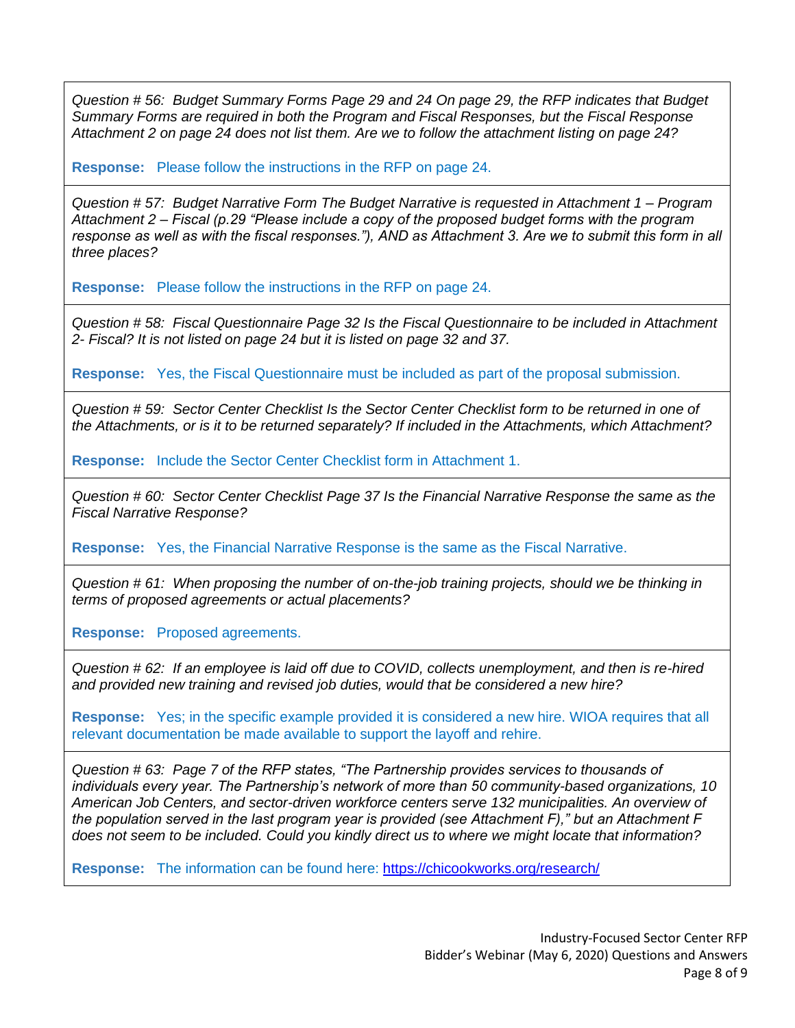*Question # 56: Budget Summary Forms Page 29 and 24 On page 29, the RFP indicates that Budget Summary Forms are required in both the Program and Fiscal Responses, but the Fiscal Response Attachment 2 on page 24 does not list them. Are we to follow the attachment listing on page 24?* 

**Response:** Please follow the instructions in the RFP on page 24.

*Question # 57: Budget Narrative Form The Budget Narrative is requested in Attachment 1 – Program Attachment 2 – Fiscal (p.29 "Please include a copy of the proposed budget forms with the program response as well as with the fiscal responses."), AND as Attachment 3. Are we to submit this form in all three places?* 

**Response:** Please follow the instructions in the RFP on page 24.

*Question # 58: Fiscal Questionnaire Page 32 Is the Fiscal Questionnaire to be included in Attachment 2- Fiscal? It is not listed on page 24 but it is listed on page 32 and 37.*

**Response:** Yes, the Fiscal Questionnaire must be included as part of the proposal submission.

*Question # 59: Sector Center Checklist Is the Sector Center Checklist form to be returned in one of the Attachments, or is it to be returned separately? If included in the Attachments, which Attachment?* 

**Response:** Include the Sector Center Checklist form in Attachment 1.

*Question # 60: Sector Center Checklist Page 37 Is the Financial Narrative Response the same as the Fiscal Narrative Response?*

**Response:** Yes, the Financial Narrative Response is the same as the Fiscal Narrative.

*Question # 61: When proposing the number of on-the-job training projects, should we be thinking in terms of proposed agreements or actual placements?*

**Response:** Proposed agreements.

*Question # 62: If an employee is laid off due to COVID, collects unemployment, and then is re-hired and provided new training and revised job duties, would that be considered a new hire?*

**Response:** Yes; in the specific example provided it is considered a new hire. WIOA requires that all relevant documentation be made available to support the layoff and rehire.

*Question # 63: Page 7 of the RFP states, "The Partnership provides services to thousands of individuals every year. The Partnership's network of more than 50 community-based organizations, 10 American Job Centers, and sector-driven workforce centers serve 132 municipalities. An overview of the population served in the last program year is provided (see Attachment F)," but an Attachment F does not seem to be included. Could you kindly direct us to where we might locate that information?*

**Response:** The information can be found here:<https://chicookworks.org/research/>